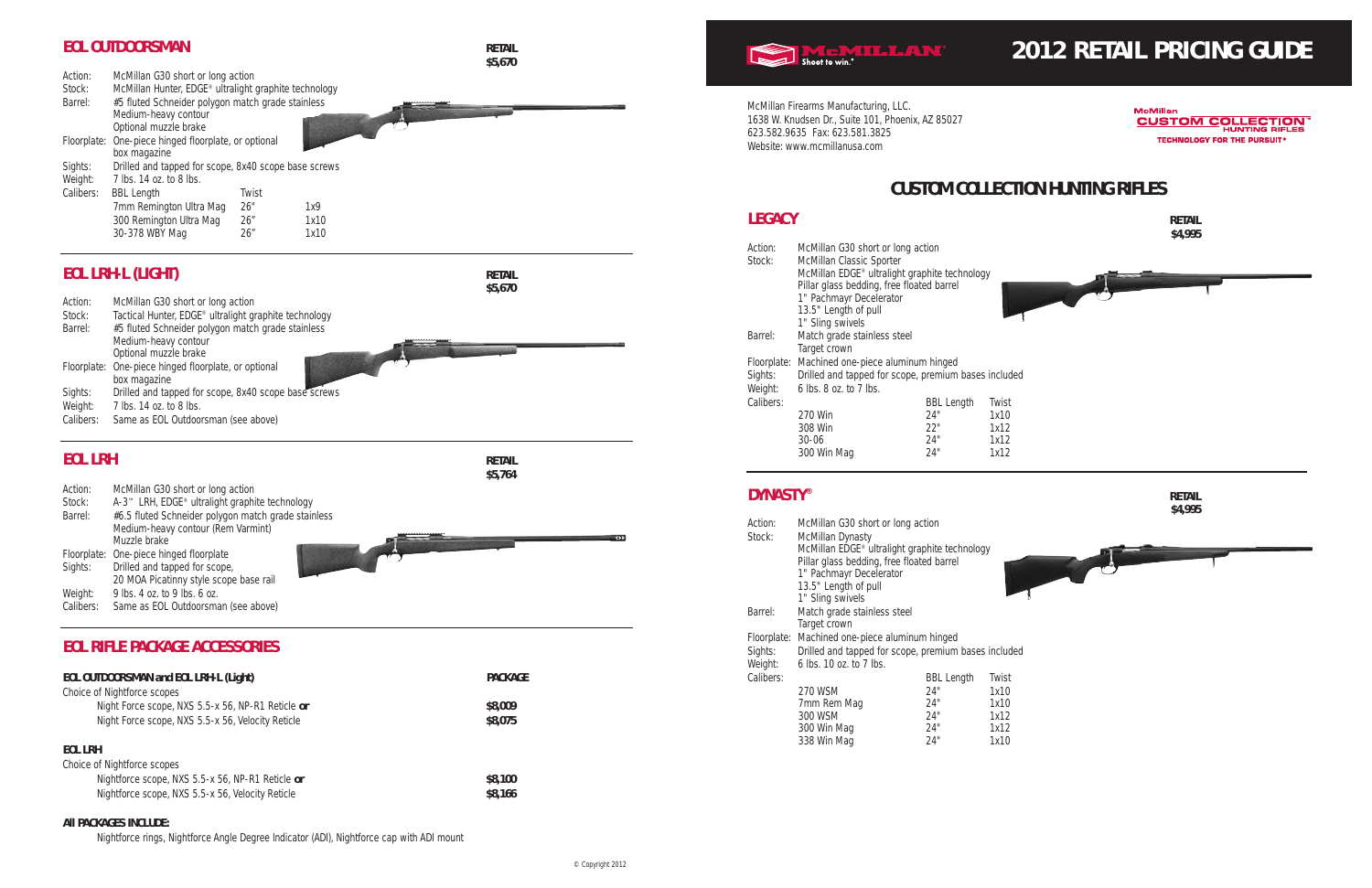# **2012 RETAIL PRICING GUIDE**

McMillan **CUSTOM COLLECTION® HUNTING RIFLES TECHNOLOGY FOR THE PURSUIT®** 

# **CUSTOM COLLECTION HUNTING RIFLES**

**\$4,995**

| Action:<br>Stock: | McMillan G30 short or long action<br>McMillan Classic Sporter |                   |       |
|-------------------|---------------------------------------------------------------|-------------------|-------|
|                   | McMillan EDGE <sup>®</sup> ultralight graphite technology     |                   |       |
|                   | Pillar glass bedding, free floated barrel                     |                   |       |
|                   | 1" Pachmayr Decelerator                                       |                   |       |
|                   | 13.5" Length of pull                                          |                   |       |
|                   | 1" Sling swivels                                              |                   |       |
| Barrel:           | Match grade stainless steel                                   |                   |       |
|                   | Target crown                                                  |                   |       |
| Floorplate:       | Machined one-piece aluminum hinged                            |                   |       |
| Sights:           | Drilled and tapped for scope, premium bases included          |                   |       |
| Weight:           | 6 lbs. 8 oz. to 7 lbs.                                        |                   |       |
| Calibers:         |                                                               | <b>BBL Length</b> | Twist |
|                   | 270 Win                                                       | 24"               | 1x10  |
|                   | 308 Win                                                       | 22"               | 1x12  |
|                   | $30 - 06$                                                     | 24"               | 1x12  |
|                   | 300 Win Mag                                                   | 24"               | 1x12  |



- 
- 
- 
- 
- 
- 

| Action:     | McMillan G30 short or long action                    |                   |       |
|-------------|------------------------------------------------------|-------------------|-------|
| Stock:      | <b>McMillan Dynasty</b>                              |                   |       |
|             | McMillan EDGE® ultralight graphite technology        |                   |       |
|             | Pillar glass bedding, free floated barrel            |                   |       |
|             | 1" Pachmayr Decelerator                              |                   |       |
|             | 13.5" Length of pull                                 |                   |       |
|             | 1" Sling swivels                                     |                   |       |
| Barrel:     | Match grade stainless steel                          |                   |       |
|             | Target crown                                         |                   |       |
| Floorplate: | Machined one-piece aluminum hinged                   |                   |       |
| Sights:     | Drilled and tapped for scope, premium bases included |                   |       |
| Weight:     | 6 lbs. 10 oz. to 7 lbs.                              |                   |       |
| Calibers:   |                                                      | <b>BBL Length</b> | Twist |
|             | 270 WSM                                              | 24"               | 1x10  |
|             | 7mm Rem Mag                                          | 24"               | 1x10  |
|             | 300 WSM                                              | 24"               | 1x12  |
|             | 300 Win Mag                                          | 24"               | 1x12  |
|             | 338 Win Mag                                          | 24"               | 1x10  |
|             |                                                      |                   |       |

McMillan Firearms Manufacturing, LLC. 1638 W. Knudsen Dr., Suite 101, Phoenix, AZ 85027 623.582.9635 Fax: 623.581.3825 Website: www.mcmillanusa.com

## **LEGACY RETAIL**

## **EOL OUTDOORSMAN RETAIL**

|             |                                                       |       |      | \$5,670 |
|-------------|-------------------------------------------------------|-------|------|---------|
| Action:     | McMillan G30 short or long action                     |       |      |         |
| Stock:      | McMillan Hunter, EDGE® ultralight graphite technology |       |      |         |
| Barrel:     | #5 fluted Schneider polygon match grade stainless     |       |      |         |
|             | Medium-heavy contour                                  |       |      |         |
|             | Optional muzzle brake                                 |       |      |         |
| Floorplate: | One-piece hinged floorplate, or optional              |       |      |         |
|             | box magazine                                          |       |      |         |
| Sights:     | Drilled and tapped for scope, 8x40 scope base screws  |       |      |         |
| Weight:     | 7 lbs. 14 oz. to 8 lbs.                               |       |      |         |
| Calibers:   | <b>BBL Length</b>                                     | Twist |      |         |
|             | 7mm Remington Ultra Mag                               | 26"   | 1x9  |         |
|             | 300 Remington Ultra Mag                               | 26"   | 1x10 |         |
|             | 30-378 WBY Mag                                        | 26"   | 1x10 |         |
|             |                                                       |       |      |         |

# **EOL LRH-L (LIGHT) RETAIL**

|           |                                                       | \$5,670 |
|-----------|-------------------------------------------------------|---------|
| Action:   | McMillan G30 short or long action                     |         |
| Stock:    | Tactical Hunter, EDGE® ultralight graphite technology |         |
| Barrel:   | #5 fluted Schneider polygon match grade stainless     |         |
|           | Medium-heavy contour                                  |         |
|           | Optional muzzle brake                                 |         |
|           | Floorplate: One-piece hinged floorplate, or optional  |         |
|           | box magazine                                          |         |
| Sights:   | Drilled and tapped for scope, 8x40 scope base screws  |         |
| Weight:   | 7 lbs. 14 oz. to 8 lbs.                               |         |
| Calibers: | Same as EOL Outdoorsman (see above)                   |         |

## **EOL LRH RETAIL**

**\$5,764**

| Action: | McMillan G30 short or long action |  |
|---------|-----------------------------------|--|
|---------|-----------------------------------|--|

Stock: A-3™ LRH, EDGE® ultralight graphite technology

| Barrel:   | #6.5 fluted Schneider polygon match grade stainless |               |
|-----------|-----------------------------------------------------|---------------|
|           | Medium-heavy contour (Rem Varmint)                  |               |
|           | Muzzle brake                                        | $\rightarrow$ |
|           | Floorplate: One-piece hinged floorplate             |               |
| Sights:   | Drilled and tapped for scope,                       |               |
|           | 20 MOA Picatinny style scope base rail              |               |
| Weight:   | 9 lbs. 4 oz. to 9 lbs. 6 oz.                        |               |
| Calibers: | Same as EOL Outdoorsman (see above)                 |               |

## **EOL RIFLE PACKAGE ACCESSORIES**

| EOL OUTDOORSMAN and EOL LRH-L (Light)             | <b>PACKAGE</b> |
|---------------------------------------------------|----------------|
| Choice of Nightforce scopes                       |                |
| Night Force scope, NXS 5.5-x 56, NP-R1 Reticle or | \$8,009        |
| Night Force scope, NXS 5.5-x 56, Velocity Reticle | \$8,075        |
| EOL LRH<br>Choice of Nightforce connect           |                |

| Choice of Nightforce scopes                      |         |
|--------------------------------------------------|---------|
| Nightforce scope, NXS 5.5-x 56, NP-R1 Reticle or | \$8.100 |
| Nightforce scope, NXS 5.5-x 56, Velocity Reticle | \$8.166 |

## **All PACKAGES INCLUDE:**

Nightforce rings, Nightforce Angle Degree Indicator (ADI), Nightforce cap with ADI mount